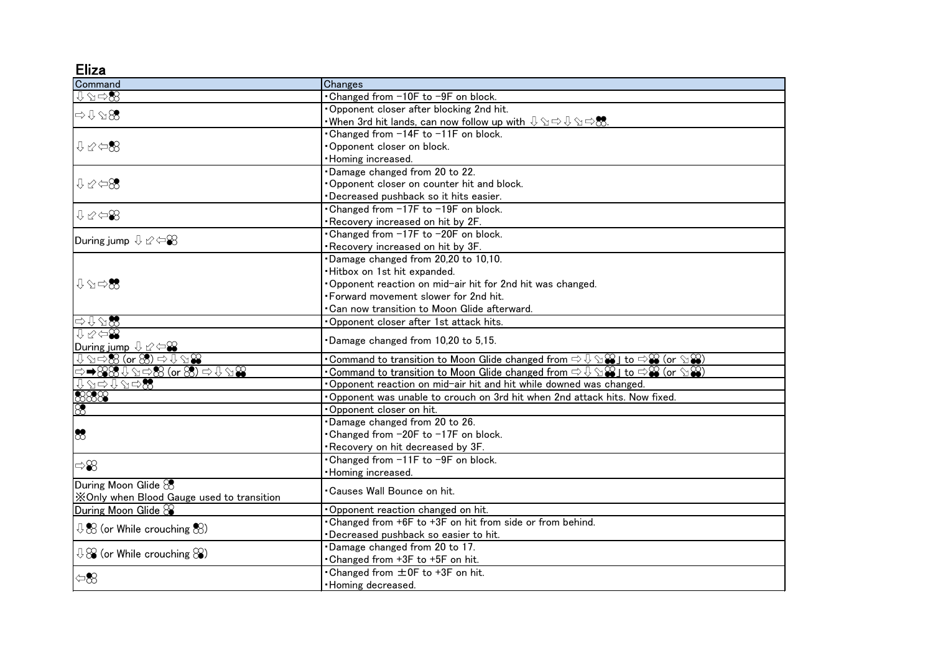Eliza

| Command                                                                                                                                                          | Changes                                                                                                                                                                      |
|------------------------------------------------------------------------------------------------------------------------------------------------------------------|------------------------------------------------------------------------------------------------------------------------------------------------------------------------------|
| ⊕⊗⇔®                                                                                                                                                             | . Changed from -10F to -9F on block.                                                                                                                                         |
| $\Rightarrow$ $\downarrow$ $\triangle$ 83                                                                                                                        | Opponent closer after blocking 2nd hit.                                                                                                                                      |
|                                                                                                                                                                  | •When 3rd hit lands, can now follow up with $\mathbb{Q} \otimes \Leftrightarrow \mathbb{Q} \otimes \Leftrightarrow$ . $\mathbb{Z} \otimes \Leftrightarrow$                   |
| $0 \n\infty$                                                                                                                                                     | •Changed from -14F to -11F on block.                                                                                                                                         |
|                                                                                                                                                                  | Opponent closer on block.                                                                                                                                                    |
|                                                                                                                                                                  | · Homing increased.                                                                                                                                                          |
| $0 \otimes 1$                                                                                                                                                    | Damage changed from 20 to 22.                                                                                                                                                |
|                                                                                                                                                                  | Opponent closer on counter hit and block.                                                                                                                                    |
|                                                                                                                                                                  | Decreased pushback so it hits easier.                                                                                                                                        |
| $I \times \oplus \otimes$                                                                                                                                        | Changed from -17F to -19F on block.                                                                                                                                          |
|                                                                                                                                                                  | Recovery increased on hit by 2F.                                                                                                                                             |
| During jump $\&\otimes\rightleftharpoons\otimes$                                                                                                                 | . Changed from -17F to -20F on block.                                                                                                                                        |
|                                                                                                                                                                  | Recovery increased on hit by 3F.                                                                                                                                             |
|                                                                                                                                                                  | Damage changed from 20,20 to 10,10.                                                                                                                                          |
|                                                                                                                                                                  | · Hitbox on 1st hit expanded.                                                                                                                                                |
| $\begin{array}{c}\n\mathbb{U}\n\oslash\neg\mathbf{S}\n\end{array}$                                                                                               | . Opponent reaction on mid-air hit for 2nd hit was changed.                                                                                                                  |
|                                                                                                                                                                  | . Forward movement slower for 2nd hit.                                                                                                                                       |
|                                                                                                                                                                  | •Can now transition to Moon Glide afterward.                                                                                                                                 |
| ⇨⇩⇘ଛ                                                                                                                                                             | Opponent closer after 1st attack hits.                                                                                                                                       |
| $0 \times 90$<br>During jump $\cup \varnothing$                                                                                                                  | Damage changed from 10,20 to 5,15.                                                                                                                                           |
| $\downarrow$ $\Diamond$ $\Leftrightarrow$ $\overline{\text{88}}$ (or $\overline{\text{88}}$ $\Rightarrow$ $\overline{\text{98}}$ $\Delta$ $\overline{\text{88}}$ | •Command to transition to Moon Glide changed from $\Rightarrow$ $\Downarrow$ $\cong$ $\mathbf{\mathbf{\mathcal{S}}}$ (or $\rightsquigarrow$ $\mathbf{\mathbf{\mathcal{S}}})$ |
| ⇨➡8388410588 (or 83) ⇨ 4128                                                                                                                                      | •Command to transition to Moon Glide changed from $\Rightarrow$ $\Downarrow$ $\cong$ $\mathbf{\mathbf{\mathcal{S}}}$ (or $\rightsquigarrow$ $\mathbf{\mathbf{\mathcal{S}}})$ |
| ↑♂⇒↑♂⇒₩                                                                                                                                                          | . Opponent reaction on mid-air hit and hit while downed was changed.                                                                                                         |
| $\frac{\frac{1}{8888}}{8}$                                                                                                                                       | Opponent was unable to crouch on 3rd hit when 2nd attack hits. Now fixed.                                                                                                    |
|                                                                                                                                                                  | Opponent closer on hit.                                                                                                                                                      |
| $\infty$                                                                                                                                                         | Damage changed from 20 to 26.                                                                                                                                                |
|                                                                                                                                                                  | Changed from -20F to -17F on block.                                                                                                                                          |
|                                                                                                                                                                  | Recovery on hit decreased by 3F.                                                                                                                                             |
| $\Rightarrow 8$                                                                                                                                                  | •Changed from -11F to -9F on block.                                                                                                                                          |
|                                                                                                                                                                  | · Homing increased.                                                                                                                                                          |
| During Moon Glide &                                                                                                                                              |                                                                                                                                                                              |
| XOnly when Blood Gauge used to transition                                                                                                                        | •Causes Wall Bounce on hit.                                                                                                                                                  |
| During Moon Glide &                                                                                                                                              | Opponent reaction changed on hit.                                                                                                                                            |
| $\sqrt[1]{28}$ (or While crouching $\sqrt[8]{8}$ )                                                                                                               | . Changed from +6F to +3F on hit from side or from behind.                                                                                                                   |
|                                                                                                                                                                  | Decreased pushback so easier to hit.                                                                                                                                         |
| $\sqrt{10}$ (or While crouching $\aleph$ )                                                                                                                       | Damage changed from 20 to 17.                                                                                                                                                |
|                                                                                                                                                                  | . Changed from +3F to +5F on hit.                                                                                                                                            |
| $\leftarrow \hspace{-1.5mm}$                                                                                                                                     | • Changed from $\pm$ 0F to +3F on hit.                                                                                                                                       |
|                                                                                                                                                                  | • Homing decreased.                                                                                                                                                          |